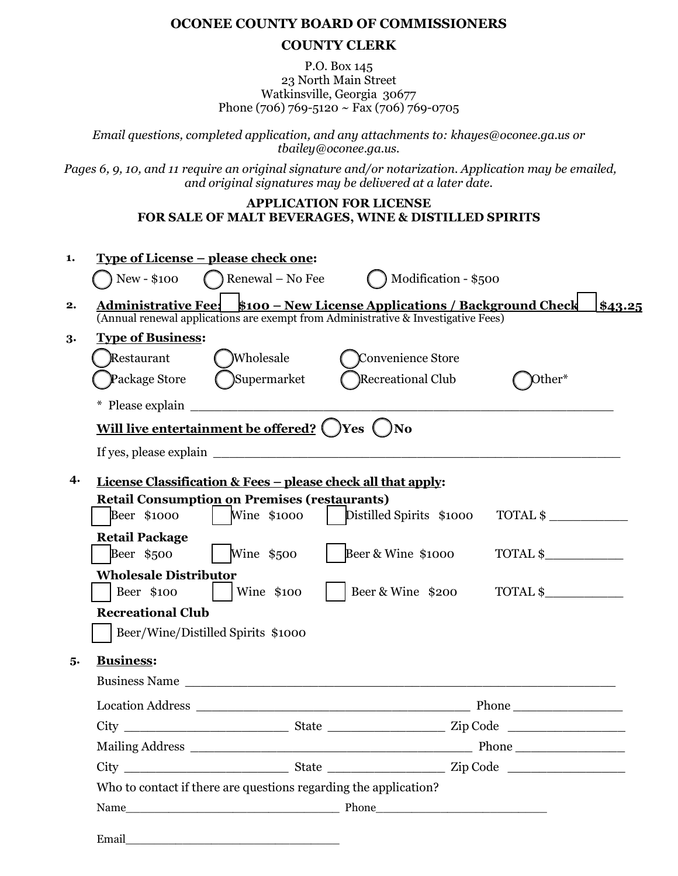### **OCONEE COUNTY BOARD OF COMMISSIONERS**

### **COUNTY CLERK**

P.O. Box 145 23 North Main Street Watkinsville, Georgia 30677 Phone (706) 769-5120 ~ Fax (706) 769-0705

*Email questions, completed application, and any attachments to: khayes@oconee.ga.us or tbailey@oconee.ga.us.*

*Pages 6, 9, 10, and 11 require an original signature and/or notarization. Application may be emailed, and original signatures may be delivered at a later date.*

#### **APPLICATION FOR LICENSE FOR SALE OF MALT BEVERAGES, WINE & DISTILLED SPIRITS**

| 1. | New - \$100                                                                                                                                      | Type of License – please check one:<br>$\bigcap$ Renewal – No Fee                                                                                                   | $\binom{1}{2}$ Modification - \$500                                                                                                             |                                                                         |         |  |
|----|--------------------------------------------------------------------------------------------------------------------------------------------------|---------------------------------------------------------------------------------------------------------------------------------------------------------------------|-------------------------------------------------------------------------------------------------------------------------------------------------|-------------------------------------------------------------------------|---------|--|
| 2. |                                                                                                                                                  |                                                                                                                                                                     | (Annual renewal applications are exempt from Administrative & Investigative Fees)                                                               | Administrative Fee: \$100 - New License Applications / Background Check | \$43.25 |  |
| 3. | <b>Type of Business:</b><br>Restaurant                                                                                                           | (Wholesale                                                                                                                                                          | Convenience Store                                                                                                                               |                                                                         |         |  |
|    | Package Store                                                                                                                                    | Supermarket                                                                                                                                                         | Recreational Club                                                                                                                               | Other*                                                                  |         |  |
|    |                                                                                                                                                  | Will live entertainment be offered? () Yes () No                                                                                                                    | If yes, please explain                                                                                                                          |                                                                         |         |  |
| 4. | Beer \$1000<br><b>Retail Package</b><br>Beer \$500<br><b>Wholesale Distributor</b><br>Beer \$100<br><b>Recreational Club</b><br><b>Business:</b> | <b>Retail Consumption on Premises (restaurants)</b><br>$\blacksquare$ Wine \$1000<br>$\vert$ Wine \$500<br>$\vert$ Wine \$100<br>Beer/Wine/Distilled Spirits \$1000 | <u>License Classification &amp; Fees – please check all that apply:</u><br>Distilled Spirits \$1000<br>Beer & Wine \$1000<br>Beer & Wine $$200$ | TOTAL \$<br>TOTAL \$<br>TOTAL \$                                        |         |  |
| 5. | Business Name                                                                                                                                    |                                                                                                                                                                     |                                                                                                                                                 |                                                                         |         |  |
|    |                                                                                                                                                  |                                                                                                                                                                     |                                                                                                                                                 |                                                                         |         |  |
|    |                                                                                                                                                  |                                                                                                                                                                     |                                                                                                                                                 |                                                                         |         |  |
|    |                                                                                                                                                  |                                                                                                                                                                     |                                                                                                                                                 |                                                                         |         |  |
|    |                                                                                                                                                  |                                                                                                                                                                     |                                                                                                                                                 |                                                                         |         |  |
|    | Who to contact if there are questions regarding the application?                                                                                 |                                                                                                                                                                     |                                                                                                                                                 |                                                                         |         |  |
|    |                                                                                                                                                  |                                                                                                                                                                     |                                                                                                                                                 |                                                                         |         |  |
|    |                                                                                                                                                  | Email                                                                                                                                                               |                                                                                                                                                 |                                                                         |         |  |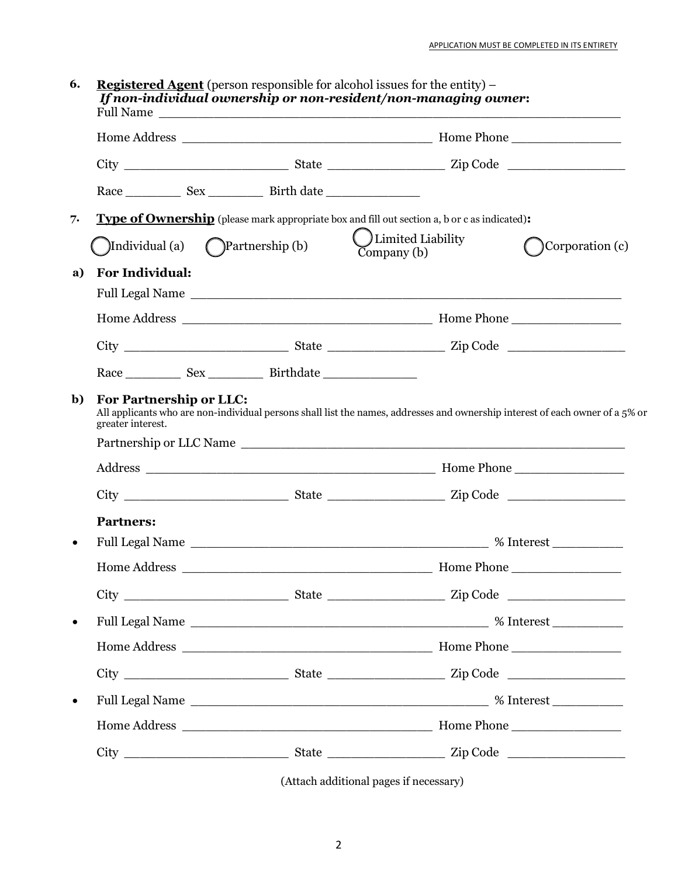**6. Registered Agent** (person responsible for alcohol issues for the entity) – *If non-individual ownership or non-resident/non-managing owner***:** Full Name Home Address \_\_\_\_\_\_\_\_\_\_\_\_\_\_\_\_\_\_\_\_\_\_\_\_\_\_\_\_\_\_\_\_ Home Phone \_\_\_\_\_\_\_\_\_\_\_\_\_\_ City \_\_\_\_\_\_\_\_\_\_\_\_\_\_\_\_\_\_\_\_\_ State \_\_\_\_\_\_\_\_\_\_\_\_\_\_\_ Zip Code \_\_\_\_\_\_\_\_\_\_\_\_\_\_\_ Race Sex Birth date **7. Type of Ownership** (please mark appropriate box and fill out section a, b or c as indicated)**:**  $\bigcap$ Individual (a)  $\bigcap$ Partnership (b)  $\bigcup$  Limited Liability Corporation (c) **a) For Individual:** Full Legal Name Home Address \_\_\_\_\_\_\_\_\_\_\_\_\_\_\_\_\_\_\_\_\_\_\_\_\_\_\_\_\_\_\_\_ Home Phone \_\_\_\_\_\_\_\_\_\_\_\_\_\_ City \_\_\_\_\_\_\_\_\_\_\_\_\_\_\_\_\_\_\_\_\_ State \_\_\_\_\_\_\_\_\_\_\_\_\_\_\_ Zip Code \_\_\_\_\_\_\_\_\_\_\_\_\_\_\_ Race Sex Birthdate **b) For Partnership or LLC:** All applicants who are non-individual persons shall list the names, addresses and ownership interest of each owner of a 5% or greater interest. Partnership or LLC Name \_\_\_\_\_\_\_\_\_\_\_\_\_\_\_\_\_\_\_\_\_\_\_\_\_\_\_\_\_\_\_\_\_\_\_\_\_\_\_\_\_\_\_\_\_\_\_\_\_ Address \_\_\_\_\_\_\_\_\_\_\_\_\_\_\_\_\_\_\_\_\_\_\_\_\_\_\_\_\_\_\_\_\_\_\_\_\_ Home Phone \_\_\_\_\_\_\_\_\_\_\_\_\_\_ City \_\_\_\_\_\_\_\_\_\_\_\_\_\_\_\_\_\_\_\_\_ State \_\_\_\_\_\_\_\_\_\_\_\_\_\_\_ Zip Code \_\_\_\_\_\_\_\_\_\_\_\_\_\_\_ **Partners:** Full Legal Name \_\_\_\_\_\_\_\_\_\_\_\_\_\_\_\_\_\_\_\_\_\_\_\_\_\_\_\_\_\_\_\_\_\_\_\_\_\_ % Interest \_\_\_\_\_\_\_\_\_ Home Address \_\_\_\_\_\_\_\_\_\_\_\_\_\_\_\_\_\_\_\_\_\_\_\_\_\_\_\_\_\_\_\_ Home Phone \_\_\_\_\_\_\_\_\_\_\_\_\_\_ City \_\_\_\_\_\_\_\_\_\_\_\_\_\_\_\_\_\_\_\_\_ State \_\_\_\_\_\_\_\_\_\_\_\_\_\_\_ Zip Code \_\_\_\_\_\_\_\_\_\_\_\_\_\_\_ Full Legal Name \_\_\_\_\_\_\_\_\_\_\_\_\_\_\_\_\_\_\_\_\_\_\_\_\_\_\_\_\_\_\_\_\_\_\_\_\_\_ % Interest \_\_\_\_\_\_\_\_\_ Home Address \_\_\_\_\_\_\_\_\_\_\_\_\_\_\_\_\_\_\_\_\_\_\_\_\_\_\_\_\_\_\_\_ Home Phone \_\_\_\_\_\_\_\_\_\_\_\_\_\_ City \_\_\_\_\_\_\_\_\_\_\_\_\_\_\_\_\_\_\_\_\_ State \_\_\_\_\_\_\_\_\_\_\_\_\_\_\_ Zip Code \_\_\_\_\_\_\_\_\_\_\_\_\_\_\_ Full Legal Name \_\_\_\_\_\_\_\_\_\_\_\_\_\_\_\_\_\_\_\_\_\_\_\_\_\_\_\_\_\_\_\_\_\_\_\_\_\_ % Interest \_\_\_\_\_\_\_\_\_ Home Address \_\_\_\_\_\_\_\_\_\_\_\_\_\_\_\_\_\_\_\_\_\_\_\_\_\_\_\_\_\_\_\_ Home Phone \_\_\_\_\_\_\_\_\_\_\_\_\_\_ City \_\_\_\_\_\_\_\_\_\_\_\_\_\_\_\_\_\_\_\_\_ State \_\_\_\_\_\_\_\_\_\_\_\_\_\_\_ Zip Code \_\_\_\_\_\_\_\_\_\_\_\_\_\_\_ (Attach additional pages if necessary)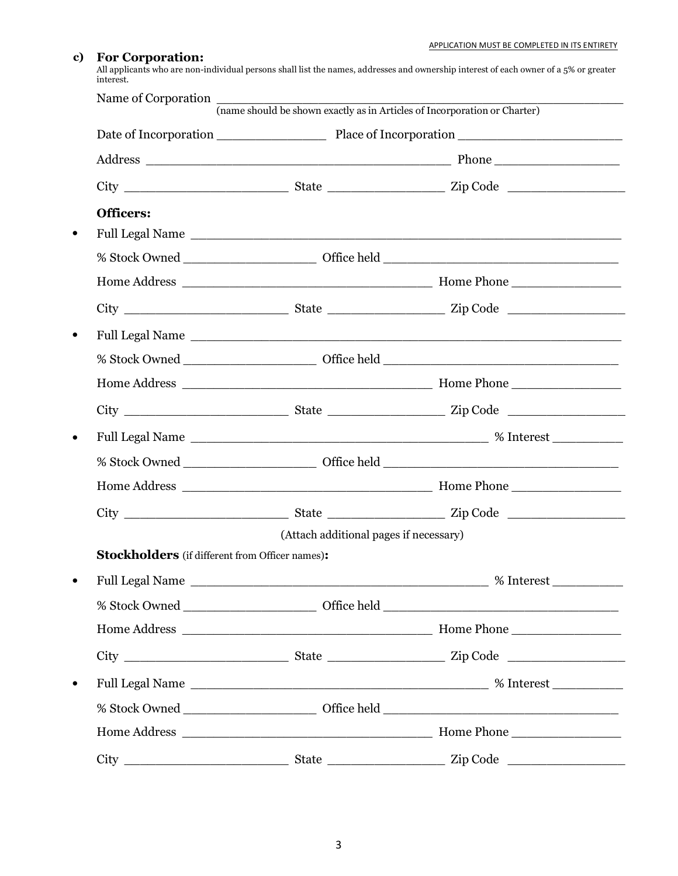#### APPLICATION MUST BE COMPLETED IN ITS ENTIRETY

#### **c) For Corporation:**

All applicants who are non-individual persons shall list the names, addresses and ownership interest of each owner of a 5% or greater interest.

|                                                        |                                        | (name should be shown exactly as in Articles of Incorporation or Charter) |
|--------------------------------------------------------|----------------------------------------|---------------------------------------------------------------------------|
|                                                        |                                        |                                                                           |
|                                                        |                                        |                                                                           |
|                                                        |                                        |                                                                           |
| Officers:<br>Full Legal Name                           |                                        |                                                                           |
|                                                        |                                        |                                                                           |
|                                                        |                                        |                                                                           |
|                                                        |                                        |                                                                           |
|                                                        |                                        | Full Legal Name                                                           |
|                                                        |                                        |                                                                           |
|                                                        |                                        |                                                                           |
|                                                        |                                        |                                                                           |
|                                                        |                                        |                                                                           |
|                                                        |                                        |                                                                           |
|                                                        |                                        |                                                                           |
|                                                        |                                        |                                                                           |
|                                                        | (Attach additional pages if necessary) |                                                                           |
| <b>Stockholders</b> (if different from Officer names): |                                        |                                                                           |
|                                                        |                                        |                                                                           |
|                                                        |                                        |                                                                           |
|                                                        |                                        |                                                                           |
|                                                        |                                        |                                                                           |
|                                                        |                                        |                                                                           |
|                                                        |                                        |                                                                           |
|                                                        |                                        |                                                                           |
|                                                        |                                        |                                                                           |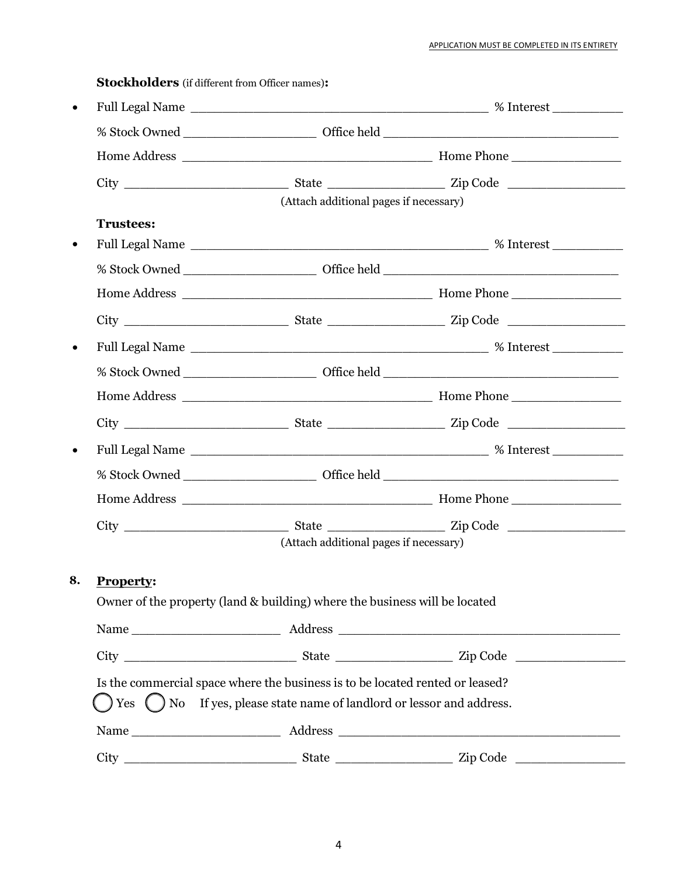|                  | (Attach additional pages if necessary)                                        |  |
|------------------|-------------------------------------------------------------------------------|--|
| <b>Trustees:</b> |                                                                               |  |
|                  |                                                                               |  |
|                  |                                                                               |  |
|                  |                                                                               |  |
|                  |                                                                               |  |
|                  |                                                                               |  |
|                  |                                                                               |  |
|                  |                                                                               |  |
|                  |                                                                               |  |
|                  |                                                                               |  |
|                  |                                                                               |  |
|                  |                                                                               |  |
|                  |                                                                               |  |
|                  | (Attach additional pages if necessary)                                        |  |
| <b>Property:</b> |                                                                               |  |
|                  | Owner of the property (land & building) where the business will be located    |  |
|                  |                                                                               |  |
|                  |                                                                               |  |
|                  | Is the commercial space where the business is to be located rented or leased? |  |
|                  | Yes ( ) No If yes, please state name of landlord or lessor and address.       |  |
|                  |                                                                               |  |
|                  |                                                                               |  |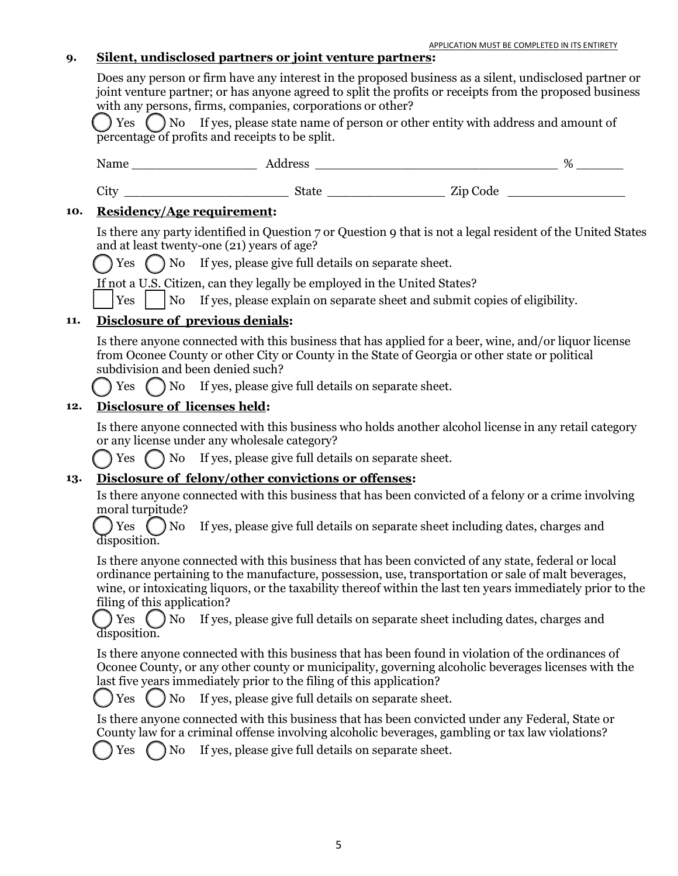### **9. Silent, undisclosed partners or joint venture partners:**

Does any person or firm have any interest in the proposed business as a silent, undisclosed partner or joint venture partner; or has anyone agreed to split the profits or receipts from the proposed business with any persons, firms, companies, corporations or other?

 $\text{Yes} \left( \right)$  No If yes, please state name of person or other entity with address and amount of percentage of profits and receipts to be split.

Name \_\_\_\_\_\_\_\_\_\_\_\_\_\_\_\_ Address \_\_\_\_\_\_\_\_\_\_\_\_\_\_\_\_\_\_\_\_\_\_\_\_\_\_\_\_\_\_\_ % \_\_\_\_\_\_

City \_\_\_\_\_\_\_\_\_\_\_\_\_\_\_\_\_\_\_\_\_ State \_\_\_\_\_\_\_\_\_\_\_\_\_\_\_ Zip Code \_\_\_\_\_\_\_\_\_\_\_\_\_\_\_

### **10. Residency/Age requirement:**

Is there any party identified in Question 7 or Question 9 that is not a legal resident of the United States and at least twenty-one (21) years of age?

Yes  $\binom{?}{}$  No If yes, please give full details on separate sheet.

If not a U.S. Citizen, can they legally be employed in the United States?

£ Yes £ No If yes, please explain on separate sheet and submit copies of eligibility.

## **11. Disclosure of previous denials:**

Is there anyone connected with this business that has applied for a beer, wine, and/or liquor license from Oconee County or other City or County in the State of Georgia or other state or political subdivision and been denied such?

 $\sum$  Yes  $\sum$  No If yes, please give full details on separate sheet.

# **12. Disclosure of licenses held:**

Is there anyone connected with this business who holds another alcohol license in any retail category or any license under any wholesale category?

Yes  $\Box$  No If yes, please give full details on separate sheet.

## **13. Disclosure of felony/other convictions or offenses:**

Is there anyone connected with this business that has been convicted of a felony or a crime involving moral turpitude?

 ${\cal Y}$  Yes  $\bigcap$  No If yes, please give full details on separate sheet including dates, charges and disposition.

Is there anyone connected with this business that has been convicted of any state, federal or local ordinance pertaining to the manufacture, possession, use, transportation or sale of malt beverages, wine, or intoxicating liquors, or the taxability thereof within the last ten years immediately prior to the filing of this application?

Fes  $\Box$  No If yes, please give full details on separate sheet including dates, charges and disposition.

Is there anyone connected with this business that has been found in violation of the ordinances of Oconee County, or any other county or municipality, governing alcoholic beverages licenses with the last five years immediately prior to the filing of this application?



Yes  $\Box$  No If yes, please give full details on separate sheet.

Is there anyone connected with this business that has been convicted under any Federal, State or County law for a criminal offense involving alcoholic beverages, gambling or tax law violations?

 $Yes \cap No$  If yes, please give full details on separate sheet.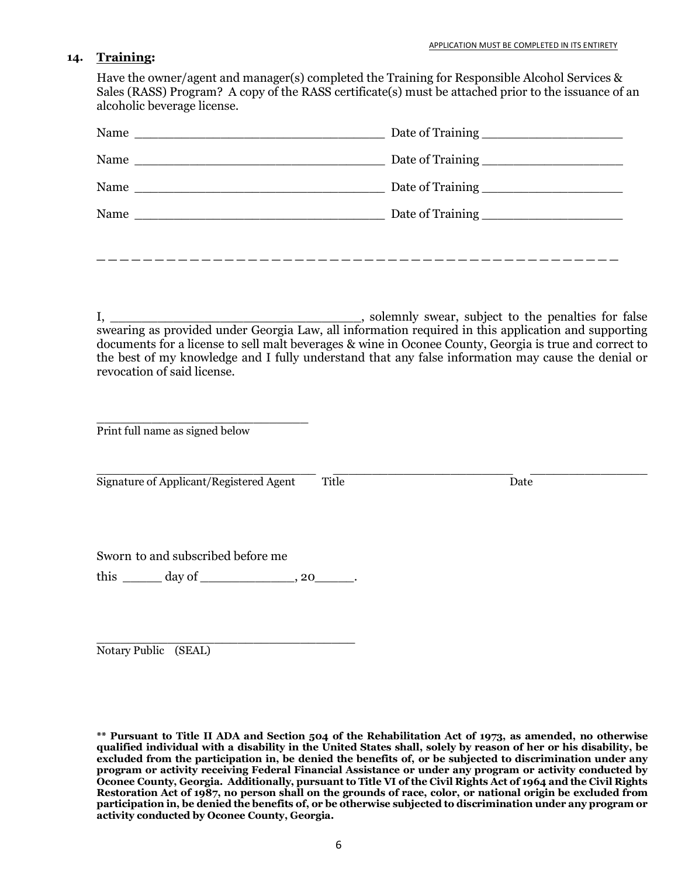### **14. Training:**

Have the owner/agent and manager(s) completed the Training for Responsible Alcohol Services & Sales (RASS) Program? A copy of the RASS certificate(s) must be attached prior to the issuance of an alcoholic beverage license.

| Name $\overline{\phantom{a}}$ |  |
|-------------------------------|--|
|                               |  |
|                               |  |
|                               |  |
|                               |  |
|                               |  |

I, \_\_\_\_\_\_\_\_\_\_\_\_\_\_\_\_\_\_\_\_\_\_\_\_\_\_\_\_\_\_\_\_, solemnly swear, subject to the penalties for false swearing as provided under Georgia Law, all information required in this application and supporting documents for a license to sell malt beverages & wine in Oconee County, Georgia is true and correct to the best of my knowledge and I fully understand that any false information may cause the denial or revocation of said license.

\_\_\_\_\_\_\_\_\_\_\_\_\_\_\_\_\_\_\_\_\_\_\_\_\_\_\_ Print full name as signed below

\_\_\_\_\_\_\_\_\_\_\_\_\_\_\_\_\_\_\_\_\_\_\_\_\_\_\_\_ \_\_\_\_\_\_\_\_\_\_\_\_\_\_\_\_\_\_\_\_\_\_\_ \_\_\_\_\_\_\_\_\_\_\_\_\_\_\_ Signature of Applicant/Registered Agent Title Date Date

Sworn to and subscribed before me

this day of , 20 .

\_\_\_\_\_\_\_\_\_\_\_\_\_\_\_\_\_\_\_\_\_\_\_\_\_\_\_\_\_\_\_\_\_ Notary Public (SEAL)

**<sup>\*\*</sup> Pursuant to Title II ADA and Section 504 of the Rehabilitation Act of 1973, as amended, no otherwise qualified individual with a disability in the United States shall, solely by reason of her or his disability, be excluded from the participation in, be denied the benefits of, or be subjected to discrimination under any program or activity receiving Federal Financial Assistance or under any program or activity conducted by Oconee County, Georgia. Additionally, pursuant to Title VI of the Civil Rights Act of 1964 and the Civil Rights Restoration Act of 1987, no person shall on the grounds of race, color, or national origin be excluded from participation in, be denied the benefits of, or be otherwise subjected to discrimination under any program or activity conducted by Oconee County, Georgia.**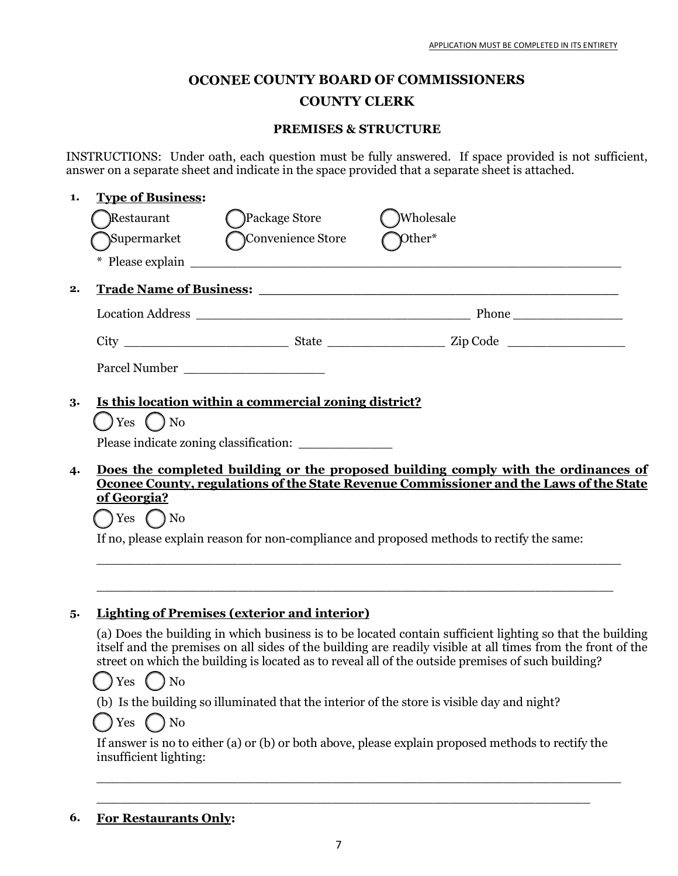# **OCONEE COUNTY BOARD OF COMMISSIONERS**

### **COUNTY CLERK**

#### **PREMISES & STRUCTURE**

INSTRUCTIONS: Under oath, each question must be fully answered. If space provided is not sufficient, answer on a separate sheet and indicate in the space provided that a separate sheet is attached.

### **1. Type of Business:**

|                                                                                          | Restaurant                 | Package Store)                                                                         | Wholesale                                                                                                                                                                                                                                                                                                                      |  |  |  |
|------------------------------------------------------------------------------------------|----------------------------|----------------------------------------------------------------------------------------|--------------------------------------------------------------------------------------------------------------------------------------------------------------------------------------------------------------------------------------------------------------------------------------------------------------------------------|--|--|--|
|                                                                                          | Supermarket                | Convenience Store                                                                      | Other*                                                                                                                                                                                                                                                                                                                         |  |  |  |
|                                                                                          |                            |                                                                                        |                                                                                                                                                                                                                                                                                                                                |  |  |  |
| 2.                                                                                       |                            |                                                                                        |                                                                                                                                                                                                                                                                                                                                |  |  |  |
|                                                                                          |                            |                                                                                        |                                                                                                                                                                                                                                                                                                                                |  |  |  |
|                                                                                          |                            |                                                                                        |                                                                                                                                                                                                                                                                                                                                |  |  |  |
|                                                                                          |                            | Parcel Number                                                                          |                                                                                                                                                                                                                                                                                                                                |  |  |  |
| 3.                                                                                       |                            | Is this location within a commercial zoning district?                                  |                                                                                                                                                                                                                                                                                                                                |  |  |  |
|                                                                                          | $\bigcup$ Yes $\bigcap$ No |                                                                                        |                                                                                                                                                                                                                                                                                                                                |  |  |  |
|                                                                                          |                            |                                                                                        |                                                                                                                                                                                                                                                                                                                                |  |  |  |
| Does the completed building or the proposed building comply with the ordinances of<br>4. |                            |                                                                                        |                                                                                                                                                                                                                                                                                                                                |  |  |  |
|                                                                                          | of Georgia?                | Oconee County, regulations of the State Revenue Commissioner and the Laws of the State |                                                                                                                                                                                                                                                                                                                                |  |  |  |
|                                                                                          | $\bigcap$ Yes $\bigcap$ No |                                                                                        |                                                                                                                                                                                                                                                                                                                                |  |  |  |
|                                                                                          |                            |                                                                                        | If no, please explain reason for non-compliance and proposed methods to rectify the same:                                                                                                                                                                                                                                      |  |  |  |
|                                                                                          |                            |                                                                                        |                                                                                                                                                                                                                                                                                                                                |  |  |  |
|                                                                                          |                            |                                                                                        |                                                                                                                                                                                                                                                                                                                                |  |  |  |
| 5.                                                                                       |                            | <b>Lighting of Premises (exterior and interior)</b>                                    |                                                                                                                                                                                                                                                                                                                                |  |  |  |
|                                                                                          |                            |                                                                                        | (a) Does the building in which business is to be located contain sufficient lighting so that the building<br>itself and the premises on all sides of the building are readily visible at all times from the front of the<br>street on which the building is located as to reveal all of the outside premises of such building? |  |  |  |
|                                                                                          | $\bigcap$ Yes $\bigcap$ No |                                                                                        |                                                                                                                                                                                                                                                                                                                                |  |  |  |
|                                                                                          |                            |                                                                                        | (b) Is the building so illuminated that the interior of the store is visible day and night?                                                                                                                                                                                                                                    |  |  |  |
|                                                                                          | $\sum$ Yes $\sum$ No       |                                                                                        |                                                                                                                                                                                                                                                                                                                                |  |  |  |

If answer is no to either (a) or (b) or both above, please explain proposed methods to rectify the insufficient lighting:

 $\overline{a}$  , and the contribution of the contribution of the contribution of the contribution of the contribution of the contribution of the contribution of the contribution of the contribution of the contribution of the co

### **6. For Restaurants Only:**

\_\_\_\_\_\_\_\_\_\_\_\_\_\_\_\_\_\_\_\_\_\_\_\_\_\_\_\_\_\_\_\_\_\_\_\_\_\_\_\_\_\_\_\_\_\_\_\_\_\_\_\_\_\_\_\_\_\_\_\_\_\_\_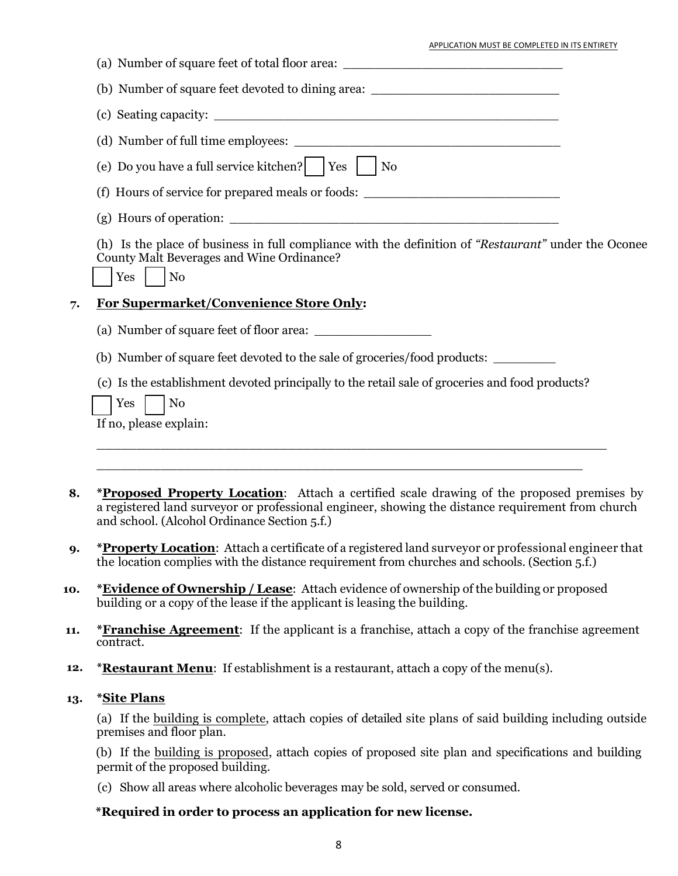|--|

| (a) Number of square feet of total floor area: _________________________________                                                                                   |
|--------------------------------------------------------------------------------------------------------------------------------------------------------------------|
| (b) Number of square feet devoted to dining area: ______________________________                                                                                   |
|                                                                                                                                                                    |
|                                                                                                                                                                    |
|                                                                                                                                                                    |
| (f) Hours of service for prepared meals or foods: ______________________________                                                                                   |
| (g) Hours of operation: $\sqrt{2}$                                                                                                                                 |
| (h) Is the place of business in full compliance with the definition of "Restaurant" under the Oconee<br>County Malt Beverages and Wine Ordinance?<br>$Yes \mid No$ |
| For Supermarket/Convenience Store Only:                                                                                                                            |
| (a) Number of square feet of floor area:                                                                                                                           |
| (b) Number of square feet devoted to the sale of groceries/food products:                                                                                          |
| (c) Is the establishment devoted principally to the retail sale of groceries and food products?                                                                    |
| $Yes \mid \text{No}$                                                                                                                                               |
| If no, please explain:                                                                                                                                             |
|                                                                                                                                                                    |
|                                                                                                                                                                    |

- **9. \*Property Location**: Attach a certificate of a registered land surveyor or professional engineer that the location complies with the distance requirement from churches and schools. (Section 5.f.)
- **10. \*Evidence of Ownership / Lease**: Attach evidence of ownership of the building or proposed building or a copy of the lease if the applicant is leasing the building.
- **11. \*Franchise Agreement**: If the applicant is a franchise, attach a copy of the franchise agreement contract.
- **12. \*Restaurant Menu**: If establishment is a restaurant, attach a copy of the menu(s).

## **13. \*Site Plans**

(a) If the building is complete, attach copies of detailed site plans of said building including outside premises and floor plan.

(b) If the building is proposed, attach copies of proposed site plan and specifications and building permit of the proposed building.

(c) Show all areas where alcoholic beverages may be sold, served or consumed.

# **\*Required in order to process an application for new license.**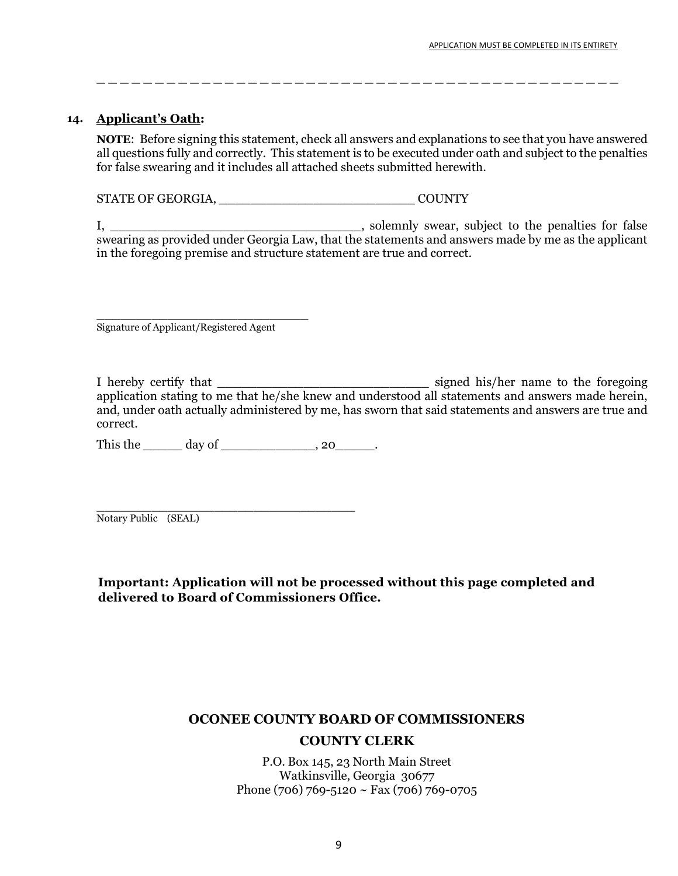**\_ \_ \_ \_ \_ \_ \_ \_ \_ \_ \_ \_ \_ \_ \_ \_ \_ \_ \_ \_ \_ \_ \_ \_ \_ \_ \_ \_ \_ \_ \_ \_ \_ \_ \_ \_ \_ \_ \_ \_ \_ \_ \_ \_ \_** 

#### **14. Applicant's Oath:**

**NOTE**:Before signing this statement, check all answers and explanations to see that you have answered all questions fully and correctly. This statement is to be executed under oath and subject to the penalties for false swearing and it includes all attached sheets submitted herewith.

STATE OF GEORGIA, \_\_\_\_\_\_\_\_\_\_\_\_\_\_\_\_\_\_\_\_\_\_\_\_\_ COUNTY

I, \_\_\_\_\_\_\_\_\_\_\_\_\_\_\_\_\_\_\_\_\_\_\_\_\_\_\_\_\_\_\_\_, solemnly swear, subject to the penalties for false swearing as provided under Georgia Law, that the statements and answers made by me as the applicant in the foregoing premise and structure statement are true and correct.

Signature of Applicant/Registered Agent

\_\_\_\_\_\_\_\_\_\_\_\_\_\_\_\_\_\_\_\_\_\_\_\_\_\_\_

I hereby certify that \_\_\_\_\_\_\_\_\_\_\_\_\_\_\_\_\_\_\_\_\_\_\_\_\_\_\_ signed his/her name to the foregoing application stating to me that he/she knew and understood all statements and answers made herein, and, under oath actually administered by me, has sworn that said statements and answers are true and correct.

This the day of the case of the case of the case of  $\alpha$ , 20  $\alpha$ .

\_\_\_\_\_\_\_\_\_\_\_\_\_\_\_\_\_\_\_\_\_\_\_\_\_\_\_\_\_\_\_\_\_

Notary Public (SEAL)

**Important: Application will not be processed without this page completed and delivered to Board of Commissioners Office.**

#### **OCONEE COUNTY BOARD OF COMMISSIONERS**

#### **COUNTY CLERK**

P.O. Box 145, 23 North Main Street Watkinsville, Georgia 30677 Phone (706) 769-5120  $\sim$  Fax (706) 769-0705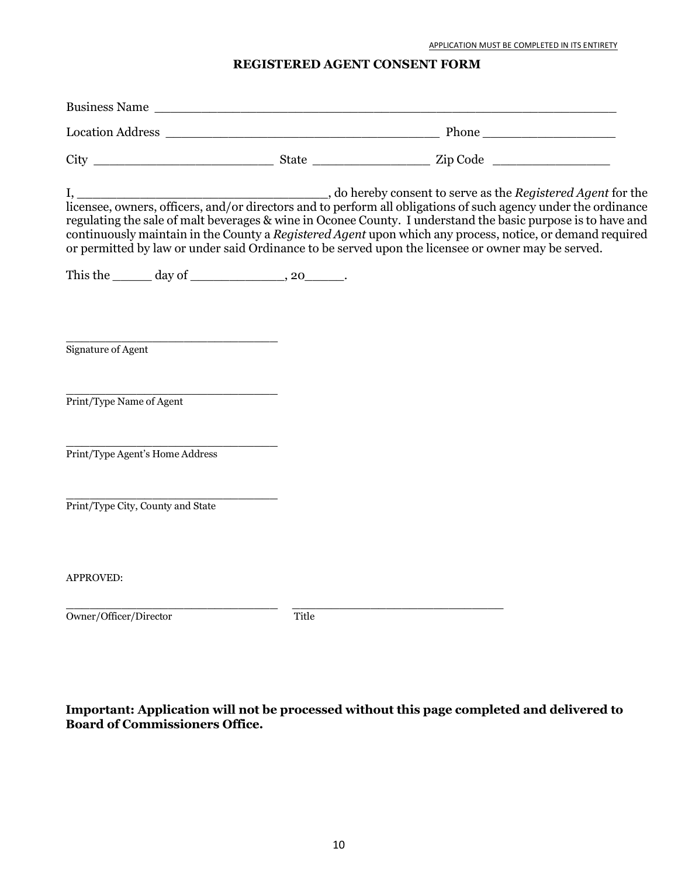#### **REGISTERED AGENT CONSENT FORM**

| Business Name                                                                                                                                                                                                                                                                                                                                                                                                                                                                      |       |  |                                                                   |
|------------------------------------------------------------------------------------------------------------------------------------------------------------------------------------------------------------------------------------------------------------------------------------------------------------------------------------------------------------------------------------------------------------------------------------------------------------------------------------|-------|--|-------------------------------------------------------------------|
|                                                                                                                                                                                                                                                                                                                                                                                                                                                                                    |       |  |                                                                   |
|                                                                                                                                                                                                                                                                                                                                                                                                                                                                                    |       |  |                                                                   |
| $I, \underline{\hspace{2cm}}$<br>licensee, owners, officers, and/or directors and to perform all obligations of such agency under the ordinance<br>regulating the sale of malt beverages & wine in Oconee County. I understand the basic purpose is to have and<br>continuously maintain in the County a Registered Agent upon which any process, notice, or demand required<br>or permitted by law or under said Ordinance to be served upon the licensee or owner may be served. |       |  | do hereby consent to serve as the <i>Registered Agent</i> for the |
| This the $\_\_\_\_$ day of $\_\_\_\_\_$ , 20 $\_\_\_\_\_$ .                                                                                                                                                                                                                                                                                                                                                                                                                        |       |  |                                                                   |
| Signature of Agent                                                                                                                                                                                                                                                                                                                                                                                                                                                                 |       |  |                                                                   |
| Print/Type Name of Agent                                                                                                                                                                                                                                                                                                                                                                                                                                                           |       |  |                                                                   |
| Print/Type Agent's Home Address                                                                                                                                                                                                                                                                                                                                                                                                                                                    |       |  |                                                                   |
| Print/Type City, County and State                                                                                                                                                                                                                                                                                                                                                                                                                                                  |       |  |                                                                   |
| <b>APPROVED:</b>                                                                                                                                                                                                                                                                                                                                                                                                                                                                   |       |  |                                                                   |
| Owner/Officer/Director                                                                                                                                                                                                                                                                                                                                                                                                                                                             | Title |  |                                                                   |
|                                                                                                                                                                                                                                                                                                                                                                                                                                                                                    |       |  |                                                                   |

**Important: Application will not be processed without this page completed and delivered to Board of Commissioners Office.**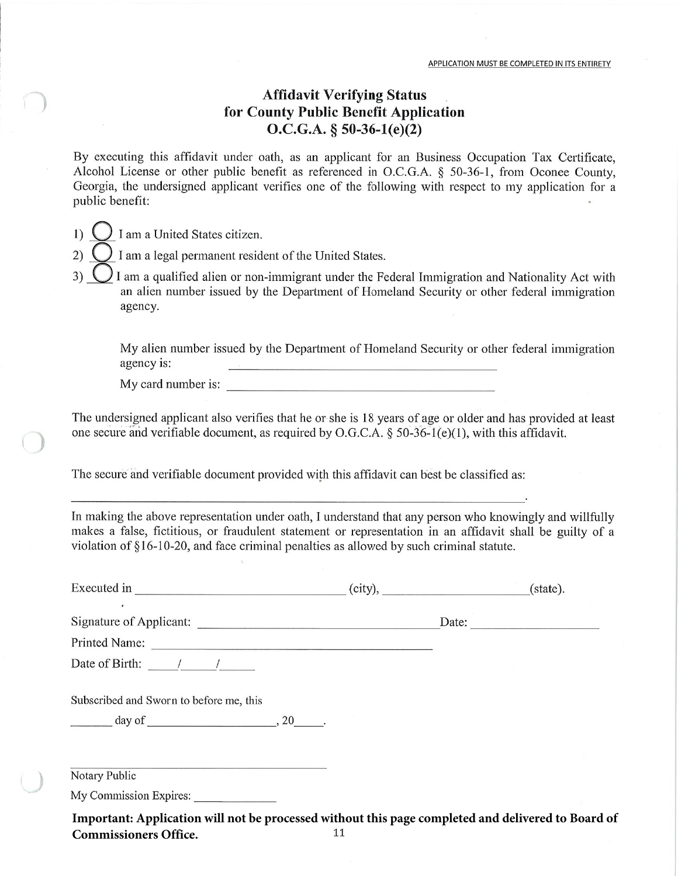### **Affidavit Verifying Status** for County Public Benefit Application  $O.C.G.A. § 50-36-1(e)(2)$

By executing this affidavit under oath, as an applicant for an Business Occupation Tax Certificate, Alcohol License or other public benefit as referenced in O.C.G.A. § 50-36-1, from Oconee County, Georgia, the undersigned applicant verifies one of the following with respect to my application for a public benefit:

I am a United States citizen.  $1)$ 

- I am a legal permanent resident of the United States. 2)
- $3)$ I am a qualified alien or non-immigrant under the Federal Immigration and Nationality Act with an alien number issued by the Department of Homeland Security or other federal immigration agency.

My alien number issued by the Department of Homeland Security or other federal immigration agency is:

My card number is:

The undersigned applicant also verifies that he or she is 18 years of age or older and has provided at least one secure and verifiable document, as required by O.G.C.A.  $\S$  50-36-1(e)(1), with this affidavit.

The secure and verifiable document provided with this affidavit can best be classified as:

In making the above representation under oath, I understand that any person who knowingly and willfully makes a false, fictitious, or fraudulent statement or representation in an affidavit shall be guilty of a violation of §16-10-20, and face criminal penalties as allowed by such criminal statute.

| $\bullet$                                                                                                                                |       |
|------------------------------------------------------------------------------------------------------------------------------------------|-------|
|                                                                                                                                          | Date: |
|                                                                                                                                          |       |
| Date of Birth: $\frac{\sqrt{2}}{2}$                                                                                                      |       |
|                                                                                                                                          |       |
| Subscribed and Sworn to before me, this                                                                                                  |       |
| $\frac{day \text{ of } }{y}$ , 20                                                                                                        |       |
|                                                                                                                                          |       |
|                                                                                                                                          |       |
| Notary Public                                                                                                                            |       |
| My Commission Expires:                                                                                                                   |       |
| Important: Application will not be processed without this page completed and delivered to Board of<br><b>Commissioners Office.</b><br>11 |       |